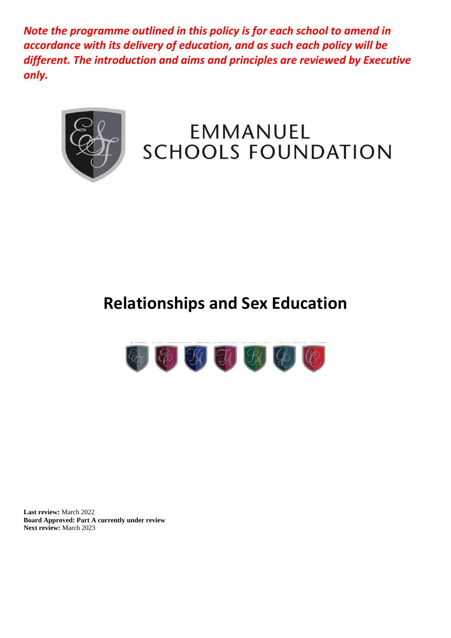*Note the programme outlined in this policy is for each school to amend in accordance with its delivery of education, and as such each policy will be different. The introduction and aims and principles are reviewed by Executive only.*



# EMMANUEL **SCHOOLS FOUNDATION**

# **Relationships and Sex Education**



**Last review:** March 2022 **Board Approved: Part A currently under review** Next review: March 2023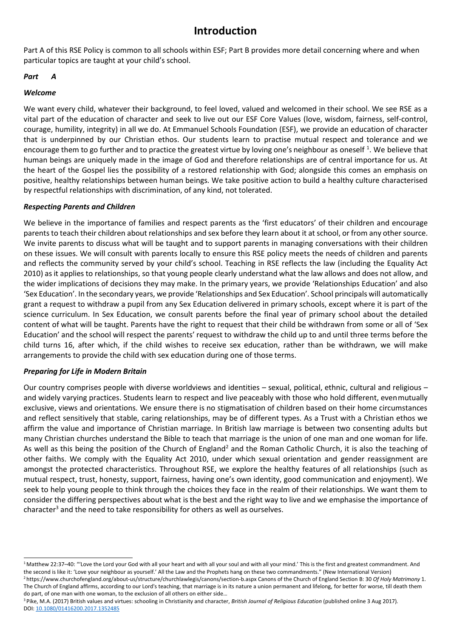# **Introduction**

Part A of this RSE Policy is common to all schools within ESF; Part B provides more detail concerning where and when particular topics are taught at your child's school.

#### *Part A*

#### *Welcome*

We want every child, whatever their background, to feel loved, valued and welcomed in their school. We see RSE as a vital part of the education of character and seek to live out our ESF Core Values (love, wisdom, fairness, self-control, courage, humility, integrity) in all we do. At Emmanuel Schools Foundation (ESF), we provide an education of character that is underpinned by our Christian ethos. Our students learn to practise mutual respect and tolerance and we encourage them to go further and to practice the greatest virtue by loving one's neighbour as oneself <sup>1</sup>. We believe that human beings are uniquely made in the image of God and therefore relationships are of central importance for us. At the heart of the Gospel lies the possibility of a restored relationship with God; alongside this comes an emphasis on positive, healthy relationships between human beings. We take positive action to build a healthy culture characterised by respectful relationships with discrimination, of any kind, not tolerated.

#### *Respecting Parents and Children*

We believe in the importance of families and respect parents as the 'first educators' of their children and encourage parents to teach their children about relationships and sex before they learn about it at school, or from any other source. We invite parents to discuss what will be taught and to support parents in managing conversations with their children on these issues. We will consult with parents locally to ensure this RSE policy meets the needs of children and parents and reflects the community served by your child's school. Teaching in RSE reflects the law (including the Equality Act 2010) as it applies to relationships, so that young people clearly understand what the law allows and does not allow, and the wider implications of decisions they may make. In the primary years, we provide 'Relationships Education' and also 'Sex Education'. In the secondary years, we provide 'Relationships and Sex Education'. School principals will automatically grant a request to withdraw a pupil from any Sex Education delivered in primary schools, except where it is part of the science curriculum. In Sex Education, we consult parents before the final year of primary school about the detailed content of what will be taught. Parents have the right to request that their child be withdrawn from some or all of 'Sex Education' and the school will respect the parents' request to withdraw the child up to and until three terms before the child turns 16, after which, if the child wishes to receive sex education, rather than be withdrawn, we will make arrangements to provide the child with sex education during one of those terms.

#### *Preparing for Life in Modern Britain*

Our country comprises people with diverse worldviews and identities – sexual, political, ethnic, cultural and religious – and widely varying practices. Students learn to respect and live peaceably with those who hold different, evenmutually exclusive, views and orientations. We ensure there is no stigmatisation of children based on their home circumstances and reflect sensitively that stable, caring relationships, may be of different types. As a Trust with a Christian ethos we affirm the value and importance of Christian marriage. In British law marriage is between two consenting adults but many Christian churches understand the Bible to teach that marriage is the union of one man and one woman for life. As well as this being the position of the Church of England<sup>2</sup> and the Roman Catholic Church, it is also the teaching of other faiths. We comply with the Equality Act 2010, under which sexual orientation and gender reassignment are amongst the protected characteristics. Throughout RSE, we explore the healthy features of all relationships (such as mutual respect, trust, honesty, support, fairness, having one's own identity, good communication and enjoyment). We seek to help young people to think through the choices they face in the realm of their relationships. We want them to consider the differing perspectives about what is the best and the right way to live and we emphasise the importance of character<sup>3</sup> and the need to take responsibility for others as well as ourselves.

<sup>3</sup> Pike, M.A. (2017) British values and virtues: schooling in Christianity and character, *British Journal of Religious Education* (published online 3 Aug 2017). DOI[: 10.1080/01416200.2017.1352485](http://dx.doi.org/10.1080/01416200.2017.1352485)

<sup>1</sup>Matthew 22:37–40: "'Love the Lord your God with all your heart and with all your soul and with all your mind.' This is the first and greatest commandment. And the second is like it: 'Love your neighbour as yourself.' All the Law and the Prophets hang on these two commandments." (New International Version) <sup>2</sup>http[s://www.churchofengland.org/about-us/structure/churchlawlegis/canons/section-b.aspx C](http://www.churchofengland.org/about-us/structure/churchlawlegis/canons/section-b.aspx)anons of the Church of England Section B: 30 *Of Holy Matrimony* 1.

The Church of England affirms, according to our Lord's teaching, that marriage is in its nature a union permanent and lifelong, for better for worse, till death them do part, of one man with one woman, to the exclusion of all others on either side…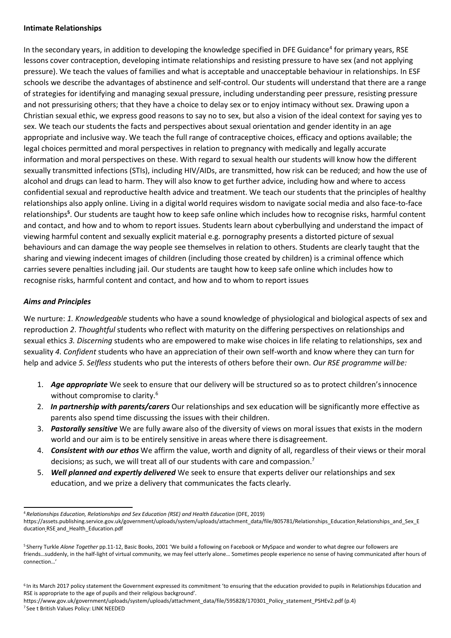#### **Intimate Relationships**

In the secondary years, in addition to developing the knowledge specified in DFE Guidance<sup>4</sup> for primary years, RSE lessons cover contraception, developing intimate relationships and resisting pressure to have sex (and not applying pressure). We teach the values of families and what is acceptable and unacceptable behaviour in relationships. In ESF schools we describe the advantages of abstinence and self-control. Our students will understand that there are a range of strategies for identifying and managing sexual pressure, including understanding peer pressure, resisting pressure and not pressurising others; that they have a choice to delay sex or to enjoy intimacy without sex. Drawing upon a Christian sexual ethic, we express good reasons to say no to sex, but also a vision of the ideal context for saying yes to sex. We teach our students the facts and perspectives about sexual orientation and gender identity in an age appropriate and inclusive way. We teach the full range of contraceptive choices, efficacy and options available; the legal choices permitted and moral perspectives in relation to pregnancy with medically and legally accurate information and moral perspectives on these. With regard to sexual health our students will know how the different sexually transmitted infections (STIs), including HIV/AIDs, are transmitted, how risk can be reduced; and how the use of alcohol and drugs can lead to harm. They will also know to get further advice, including how and where to access confidential sexual and reproductive health advice and treatment. We teach our students that the principles of healthy relationships also apply online. Living in a digital world requires wisdom to navigate social media and also face-to-face relationships**<sup>5</sup>** . Our students are taught how to keep safe online which includes how to recognise risks, harmful content and contact, and how and to whom to report issues. Students learn about cyberbullying and understand the impact of viewing harmful content and sexually explicit material e.g. pornography presents a distorted picture of sexual behaviours and can damage the way people see themselves in relation to others. Students are clearly taught that the sharing and viewing indecent images of children (including those created by children) is a criminal offence which carries severe penalties including jail. Our students are taught how to keep safe online which includes how to recognise risks, harmful content and contact, and how and to whom to report issues

#### *Aims and Principles*

We nurture: *1. Knowledgeable* students who have a sound knowledge of physiological and biological aspects of sex and reproduction *2*. *Thoughtful* students who reflect with maturity on the differing perspectives on relationships and sexual ethics *3. Discerning* students who are empowered to make wise choices in life relating to relationships, sex and sexuality *4. Confident* students who have an appreciation of their own self-worth and know where they can turn for help and advice *5. Selfless* students who put the interests of others before their own. *Our RSE programme will be:*

- 1. *Age appropriate* We seek to ensure that our delivery will be structured so as to protect children'sinnocence without compromise to clarity.<sup>6</sup>
- 2. *In partnership with parents/carers* Our relationships and sex education will be significantly more effective as parents also spend time discussing the issues with their children.
- 3. *Pastorally sensitive* We are fully aware also of the diversity of views on moral issues that exists in the modern world and our aim is to be entirely sensitive in areas where there is disagreement.
- 4. *Consistent with our ethos* We affirm the value, worth and dignity of all, regardless of their views or their moral decisions; as such, we will treat all of our students with care and compassion.<sup>7</sup>
- 5. *Well planned and expertly delivered* We seek to ensure that experts deliver our relationships and sex education, and we prize a delivery that communicates the facts clearly.

<sup>4</sup>*Relationships Education, Relationships and Sex Education (RSE) and Health Education* (DFE, 2019)

https://assets.publishing.service.gov.uk/government/uploads/system/uploads/attachment\_data/file/805781/Relationships\_Education Relationships\_and\_Sex\_E ducation RSE and\_Health\_Education.pdf

<sup>5</sup>Sherry Turkle *Alone Together* pp.11-12, Basic Books, 2001 'We build a following on Facebook or MySpace and wonder to what degree our followers are friends…suddenly, in the half-light of virtual community, we may feel utterly alone… Sometimes people experience no sense of having communicated after hours of connection…'

<sup>&</sup>lt;sup>6</sup> In its March 2017 policy statement the Government expressed its commitment 'to ensuring that the education provided to pupils in Relationships Education and RSE is appropriate to the age of pupils and their religious background'.

http[s://www.gov.uk/government/uploads/system/uploads/attachment\\_data/file/595828/170301\\_Policy\\_statement\\_PSHEv2.pdf](http://www.gov.uk/government/uploads/system/uploads/attachment_data/file/595828/170301_Policy_statement_PSHEv2.pdf) (p.4) 7 See t British Values Policy: LINK NEEDED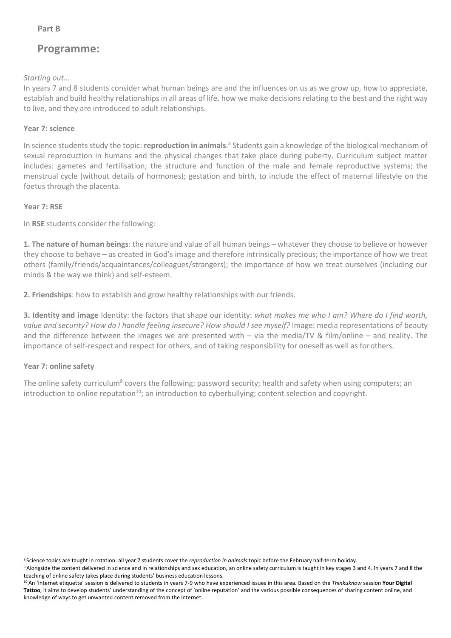# **Programme:**

*Starting out…*

In years 7 and 8 students consider what human beings are and the influences on us as we grow up, how to appreciate, establish and build healthy relationships in all areas of life, how we make decisions relating to the best and the right way to live, and they are introduced to adult relationships.

## **Year 7: science**

In science students study the topic: **reproduction in animals**. 8 Students gain a knowledge of the biological mechanism of sexual reproduction in humans and the physical changes that take place during puberty. Curriculum subject matter includes: gametes and fertilisation; the structure and function of the male and female reproductive systems; the menstrual cycle (without details of hormones); gestation and birth, to include the effect of maternal lifestyle on the foetus through the placenta.

## **Year 7: RSE**

In **RSE** students consider the following:

**1. The nature of human beings**: the nature and value of all human beings – whatever they choose to believe or however they choose to behave – as created in God's image and therefore intrinsically precious; the importance of how we treat others (family/friends/acquaintances/colleagues/strangers); the importance of how we treat ourselves (including our minds & the way we think) and self-esteem.

**2. Friendships**: how to establish and grow healthy relationships with our friends.

**3. Identity and image** Identity: the factors that shape our identity: *what makes me who I am? Where do I find worth, value and security? How do I handle feeling insecure? How should I see myself?* Image: media representations of beauty and the difference between the images we are presented with – via the media/TV & film/online – and reality. The importance of self-respect and respect for others, and of taking responsibility for oneself as well as forothers.

### **Year 7: online safety**

The online safety curriculum<sup>9</sup> covers the following: password security; health and safety when using computers; an introduction to online reputation<sup>10</sup>; an introduction to cyberbullying; content selection and copyright.

<sup>8</sup>Science topics are taught in rotation: all year 7 students cover the *reproduction in animals* topic before the February half-term holiday.

<sup>9</sup> Alongside the content delivered in science and in relationships and sex education, an online safety curriculum is taught in key stages 3 and 4. In years 7 and 8 the teaching of online safety takes place during students' business education lessons.

<sup>10</sup>An 'internet etiquette' session is delivered to students in years 7-9 who have experienced issues in this area. Based on the *Thinkuknow* session **Your Digital Tattoo**, it aims to develop students' understanding of the concept of 'online reputation' and the various possible consequences of sharing content online, and knowledge of ways to get unwanted content removed from the internet.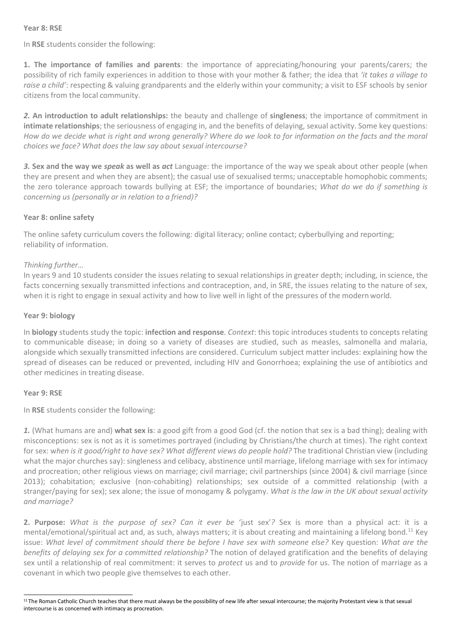#### **Year 8: RSE**

In **RSE** students consider the following:

**1. The importance of families and parents**: the importance of appreciating/honouring your parents/carers; the possibility of rich family experiences in addition to those with your mother & father; the idea that *'it takes a village to raise a child'*: respecting & valuing grandparents and the elderly within your community; a visit to ESF schools by senior citizens from the local community.

*2.* **An introduction to adult relationships:** the beauty and challenge of **singleness**; the importance of commitment in **intimate relationships**; the seriousness of engaging in, and the benefits of delaying, sexual activity. Some key questions: *How do we decide what is right and wrong generally? Where do we look to for information on the facts and the moral choices we face? What does the law say about sexual intercourse?*

*3.* **Sex and the way we** *speak* **as well as** *act* Language: the importance of the way we speak about other people (when they are present and when they are absent); the casual use of sexualised terms; unacceptable homophobic comments; the zero tolerance approach towards bullying at ESF; the importance of boundaries; *What do we do if something is concerning us (personally or in relation to a friend)?*

#### **Year 8: online safety**

The online safety curriculum covers the following: digital literacy; online contact; cyberbullying and reporting; reliability of information.

#### *Thinking further…*

In years 9 and 10 students consider the issues relating to sexual relationships in greater depth; including, in science, the facts concerning sexually transmitted infections and contraception, and, in SRE, the issues relating to the nature of sex, when it is right to engage in sexual activity and how to live well in light of the pressures of the modernworld.

#### **Year 9: biology**

In **biology** students study the topic: **infection and response***. Context*: this topic introduces students to concepts relating to communicable disease; in doing so a variety of diseases are studied, such as measles, salmonella and malaria, alongside which sexually transmitted infections are considered. Curriculum subject matter includes: explaining how the spread of diseases can be reduced or prevented, including HIV and Gonorrhoea; explaining the use of antibiotics and other medicines in treating disease.

#### **Year 9: RSE**

In **RSE** students consider the following:

*1.* (What humans are and) **what sex is**: a good gift from a good God (cf. the notion that sex is a bad thing); dealing with misconceptions: sex is not as it is sometimes portrayed (including by Christians/the church at times). The right context for sex: w*hen is it good/right to have sex? What different views do people hold?* The traditional Christian view (including what the major churches say): singleness and celibacy, abstinence until marriage, lifelong marriage with sex for intimacy and procreation; other religious views on marriage; civil marriage; civil partnerships (since 2004) & civil marriage (since 2013); cohabitation; exclusive (non-cohabiting) relationships; sex outside of a committed relationship (with a stranger/paying for sex); sex alone; the issue of monogamy & polygamy. *What is the law in the UK about sexual activity and marriage?*

**2. Purpose:** *What is the purpose of sex? Can it ever be* 'just sex'*?* Sex is more than a physical act: it is a mental/emotional/spiritual act and, as such, always matters; it is about creating and maintaining a lifelong bond.<sup>11</sup> Key issue: *What level of commitment should there be before I have sex with someone else?* Key question: *What are the benefits of delaying sex for a committed relationship?* The notion of delayed gratification and the benefits of delaying sex until a relationship of real commitment: it serves to *protect* us and to *provide* for us. The notion of marriage as a covenant in which two people give themselves to each other.

<sup>&</sup>lt;sup>11</sup> The Roman Catholic Church teaches that there must always be the possibility of new life after sexual intercourse; the majority Protestant view is that sexual intercourse is as concerned with intimacy as procreation.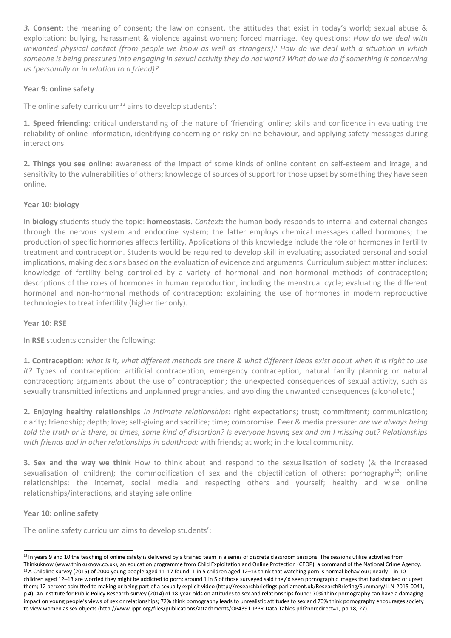*3.* **Consent**: the meaning of consent; the law on consent, the attitudes that exist in today's world; sexual abuse & exploitation; bullying, harassment & violence against women; forced marriage. Key questions: *How do we deal with unwanted physical contact (from people we know as well as strangers)? How do we deal with a situation in which*  someone is being pressured into engaging in sexual activity they do not want? What do we do if something is concerning *us (personally or in relation to a friend)?*

#### **Year 9: online safety**

The online safety curriculum<sup>12</sup> aims to develop students':

**1. Speed friending**: critical understanding of the nature of 'friending' online; skills and confidence in evaluating the reliability of online information, identifying concerning or risky online behaviour, and applying safety messages during interactions.

**2. Things you see online**: awareness of the impact of some kinds of online content on self-esteem and image, and sensitivity to the vulnerabilities of others; knowledge of sources of support for those upset by something they have seen online.

#### **Year 10: biology**

In **biology** students study the topic: **homeostasis.** *Context***:** the human body responds to internal and external changes through the nervous system and endocrine system; the latter employs chemical messages called hormones; the production of specific hormones affects fertility. Applications of this knowledge include the role of hormones in fertility treatment and contraception. Students would be required to develop skill in evaluating associated personal and social implications, making decisions based on the evaluation of evidence and arguments. Curriculum subject matter includes: knowledge of fertility being controlled by a variety of hormonal and non-hormonal methods of contraception; descriptions of the roles of hormones in human reproduction, including the menstrual cycle; evaluating the different hormonal and non-hormonal methods of contraception; explaining the use of hormones in modern reproductive technologies to treat infertility (higher tier only).

#### **Year 10: RSE**

In **RSE** students consider the following:

**1. Contraception**: *what is it, what different methods are there & what different ideas exist about when it is right to use it?* Types of contraception: artificial contraception, emergency contraception, natural family planning or natural contraception; arguments about the use of contraception; the unexpected consequences of sexual activity, such as sexually transmitted infections and unplanned pregnancies, and avoiding the unwanted consequences (alcoholetc.)

**2. Enjoying healthy relationships** *In intimate relationships*: right expectations; trust; commitment; communication; clarity; friendship; depth; love; self-giving and sacrifice; time; compromise. Peer & media pressure: *are we always being told the truth or is there, at times, some kind of distortion? Is everyone having sex and am I missing out? Relationships with friends and in other relationships in adulthood:* with friends; at work; in the local community.

**3. Sex and the way we think** How to think about and respond to the sexualisation of society (& the increased sexualisation of children); the commodification of sex and the objectification of others: pornography<sup>13</sup>; online relationships: the internet, social media and respecting others and yourself; healthy and wise online relationships/interactions, and staying safe online.

#### **Year 10: online safety**

The online safety curriculum aims to develop students':

 $12$  In years 9 and 10 the teaching of online safety is delivered by a trained team in a series of discrete classroom sessions. The sessions utilise activities from Thinkuknow (www.thinkuknow.co.uk)*,* an education programme from Child Exploitation and Online Protection (CEOP), a command of the National Crime Agency. <sup>13</sup> A Childline survey (2015) of 2000 young people aged 11-17 found: 1 in 5 children aged 12-13 think that watching porn is normal behaviour; nearly 1 in 10 children aged 12–13 are worried they might be addicted to porn; around 1 in 5 of those surveyed said they'd seen pornographic images that had shocked or upset them; 12 percent admitted to making or being part of a sexually explicit video [\(http://researchbriefings.parliament.uk/ResearchBriefing/Summary/LLN-2015-0041,](http://researchbriefings.parliament.uk/ResearchBriefing/Summary/LLN-2015-0041) p.4). An Institute for Public Policy Research survey (2014) of 18-year-olds on attitudes to sex and relationships found: 70% think pornography can have a damaging impact on young people's views of sex or relationships; 72% think pornography leads to unrealistic attitudes to sex and 70% think pornography encourages society to view women as sex objects [\(http://www.ippr.org/files/publications/attachments/OP4391-IPPR-Data-Tables.pdf?noredirect=1, p](http://www.ippr.org/files/publications/attachments/OP4391-IPPR-Data-Tables.pdf?noredirect=1)p.18, 27).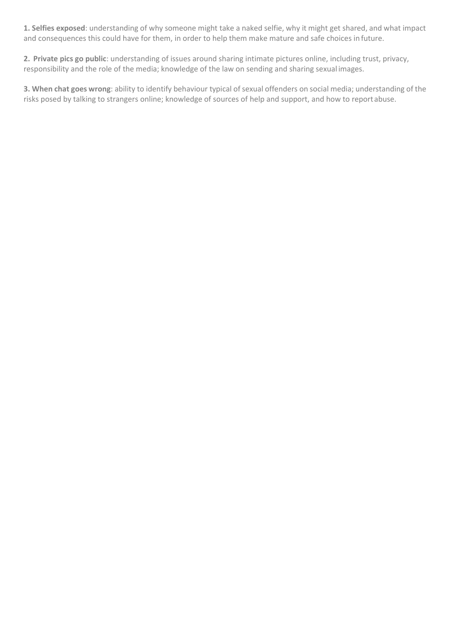**1. Selfies exposed**: understanding of why someone might take a naked selfie, why it might get shared, and what impact and consequences this could have for them, in order to help them make mature and safe choices in future.

**2. Private pics go public**: understanding of issues around sharing intimate pictures online, including trust, privacy, responsibility and the role of the media; knowledge of the law on sending and sharing sexual images.

**3. When chat goes wrong**: ability to identify behaviour typical of sexual offenders on social media; understanding of the risks posed by talking to strangers online; knowledge of sources of help and support, and how to reportabuse.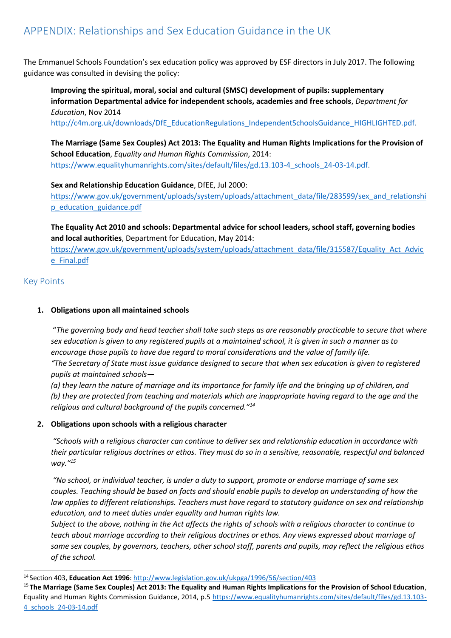The Emmanuel Schools Foundation's sex education policy was approved by ESF directors in July 2017. The following guidance was consulted in devising the policy:

**Improving the spiritual, moral, social and cultural (SMSC) development of pupils: supplementary information Departmental advice for independent schools, academies and free schools**, *Department for Education*, Nov 2014

[http://c4m.org.uk/downloads/DfE\\_EducationRegulations\\_IndependentSchoolsGuidance\\_HIGHLIGHTED.pdf.](http://c4m.org.uk/downloads/DfE_EducationRegulations_IndependentSchoolsGuidance_HIGHLIGHTED.pdf)

**The Marriage (Same Sex Couples) Act 2013: The Equality and Human Rights Implications for the Provision of School Education**, *Equality and Human Rights Commission*, 2014: [https://www.equalityhumanrights.com/sites/default/files/gd.13.103-4\\_schools\\_24-03-14.pdf.](https://www.equalityhumanrights.com/sites/default/files/gd.13.103-4_schools_24-03-14.pdf)

**Sex and Relationship Education Guidance**, DfEE, Jul 2000: [https://www.gov.uk/government/uploads/system/uploads/attachment\\_data/file/283599/sex\\_and\\_relationshi](https://www.gov.uk/government/uploads/system/uploads/attachment_data/file/283599/sex_and_relationship_education_guidance.pdf) [p\\_education\\_guidance.pdf](https://www.gov.uk/government/uploads/system/uploads/attachment_data/file/283599/sex_and_relationship_education_guidance.pdf)

**The Equality Act 2010 and schools: Departmental advice for school leaders, school staff, governing bodies and local authorities**, Department for Education, May 2014: [https://www.gov.uk/government/uploads/system/uploads/attachment\\_data/file/315587/Equality\\_Act\\_Advic](https://www.gov.uk/government/uploads/system/uploads/attachment_data/file/315587/Equality_Act_Advice_Final.pdf)

[e\\_Final.pdf](https://www.gov.uk/government/uploads/system/uploads/attachment_data/file/315587/Equality_Act_Advice_Final.pdf)

### Key Points

#### **1. Obligations upon all maintained schools**

"*The governing body and head teacher shall take such steps as are reasonably practicable to secure that where sex education is given to any registered pupils at a maintained school, it is given in such a manner as to encourage those pupils to have due regard to moral considerations and the value of family life. "The Secretary of State must issue guidance designed to secure that when sex education is given to registered pupils at maintained schools—*

(a) they learn the nature of marriage and its importance for family life and the bringing up of children, and *(b) they are protected from teaching and materials which are inappropriate having regard to the age and the religious and cultural background of the pupils concerned."<sup>14</sup>*

#### **2. Obligations upon schools with a religious character**

*"Schools with a religious character can continue to deliver sex and relationship education in accordance with their particular religious doctrines or ethos. They must do so in a sensitive, reasonable, respectful and balanced way."<sup>15</sup>*

*"No school, or individual teacher, is under a duty to support, promote or endorse marriage of same sex couples. Teaching should be based on facts and should enable pupils to develop an understanding of how the law applies to different relationships. Teachers must have regard to statutory guidance on sex and relationship education, and to meet duties under equality and human rights law.*

*Subject to the above, nothing in the Act affects the rights of schools with a religious character to continue to teach about marriage according to their religious doctrines or ethos. Any views expressed about marriage of same sex couples, by governors, teachers, other school staff, parents and pupils, may reflect the religious ethos of the school.*

<sup>14</sup>Section 403, **Education Act 1996**:<http://www.legislation.gov.uk/ukpga/1996/56/section/403>

<sup>15</sup>**The Marriage (Same Sex Couples) Act 2013: The Equality and Human Rights Implications for the Provision of School Education**, Equality and Human Rights Commission Guidance, 2014, p.5 [https://www.equalityhumanrights.com/sites/default/files/gd.13.103-](https://www.equalityhumanrights.com/sites/default/files/gd.13.103-4_schools_24-03-14.pdf) [4\\_schools\\_24-03-14.pdf](https://www.equalityhumanrights.com/sites/default/files/gd.13.103-4_schools_24-03-14.pdf)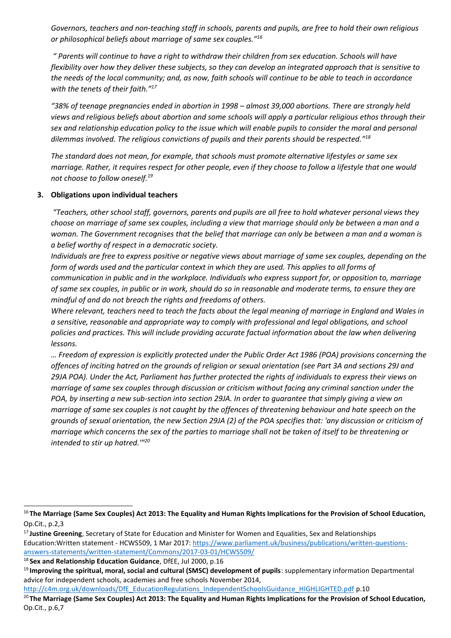*Governors, teachers and non-teaching staff in schools, parents and pupils, are free to hold their own religious or philosophical beliefs about marriage of same sex couples."<sup>16</sup>*

*" Parents will continue to have a right to withdraw their children from sex education. Schools will have flexibility over how they deliver these subjects, so they can develop an integrated approach that is sensitive to the needs of the local community; and, as now, faith schools will continue to be able to teach in accordance with the tenets of their faith."<sup>17</sup>*

*"38% of teenage pregnancies ended in abortion in 1998 – almost 39,000 abortions. There are strongly held views and religious beliefs about abortion and some schools will apply a particular religious ethos through their sex and relationship education policy to the issue which will enable pupils to consider the moral and personal dilemmas involved. The religious convictions of pupils and their parents should be respected."<sup>18</sup>*

*The standard does not mean, for example, that schools must promote alternative lifestyles or same sex marriage. Rather, it requires respect for other people, even if they choose to follow a lifestyle that one would not choose to follow oneself.<sup>19</sup>*

#### **3. Obligations upon individual teachers**

*"Teachers, other school staff, governors, parents and pupils are all free to hold whatever personal views they choose on marriage of same sex couples, including a view that marriage should only be between a man and a woman. The Government recognises that the belief that marriage can only be between a man and a woman is a belief worthy of respect in a democratic society.*

*Individuals are free to express positive or negative views about marriage of same sex couples, depending on the form of words used and the particular context in which they are used. This applies to all forms of communication in public and in the workplace. Individuals who express support for, or opposition to, marriage of same sex couples, in public or in work, should do so in reasonable and moderate terms, to ensure they are mindful of and do not breach the rights and freedoms of others.*

*Where relevant, teachers need to teach the facts about the legal meaning of marriage in England and Wales in a sensitive, reasonable and appropriate way to comply with professional and legal obligations, and school policies and practices. This will include providing accurate factual information about the law when delivering lessons.*

*… Freedom of expression is explicitly protected under the Public Order Act 1986 (POA) provisions concerning the offences of inciting hatred on the grounds of religion or sexual orientation (see Part 3A and sections 29J and 29JA POA). Under the Act, Parliament has further protected the rights of individuals to express their views on marriage of same sex couples through discussion or criticism without facing any criminal sanction under the POA, by inserting a new sub-section into section 29JA. In order to guarantee that simply giving a view on marriage of same sex couples is not caught by the offences of threatening behaviour and hate speech on the grounds of sexual orientation, the new Section 29JA (2) of the POA specifies that: 'any discussion or criticism of marriage which concerns the sex of the parties to marriage shall not be taken of itself to be threatening or intended to stir up hatred.'"<sup>20</sup>*

[http://c4m.org.uk/downloads/DfE\\_EducationRegulations\\_IndependentSchoolsGuidance\\_HIGHLIGHTED.pdf](http://c4m.org.uk/downloads/DfE_EducationRegulations_IndependentSchoolsGuidance_HIGHLIGHTED.pdf) p.10

<sup>20</sup>**The Marriage (Same Sex Couples) Act 2013: The Equality and Human Rights Implications for the Provision of School Education,** Op.Cit., p.6,7

<sup>16</sup>**The Marriage (Same Sex Couples) Act 2013: The Equality and Human Rights Implications for the Provision of School Education,** Op.Cit., p.2,3

<sup>17</sup>**Justine Greening**, Secretary of State for Education and Minister for Women and Equalities, Sex and Relationships Education:Written statement - HCWS509, 1 Mar 2017[: https://www.parliament.uk/business/publications/written-questions](https://www.parliament.uk/business/publications/written-questions-answers-statements/written-statement/Commons/2017-03-01/HCWS509/)[answers-statements/written-statement/Commons/2017-03-01/HCWS509/](https://www.parliament.uk/business/publications/written-questions-answers-statements/written-statement/Commons/2017-03-01/HCWS509/)

<sup>18</sup>**Sex and Relationship Education Guidance**, DfEE, Jul 2000, p.16

<sup>19</sup>**Improving the spiritual, moral, social and cultural (SMSC) development of pupils**: supplementary information Departmental advice for independent schools, academies and free schools November 2014,